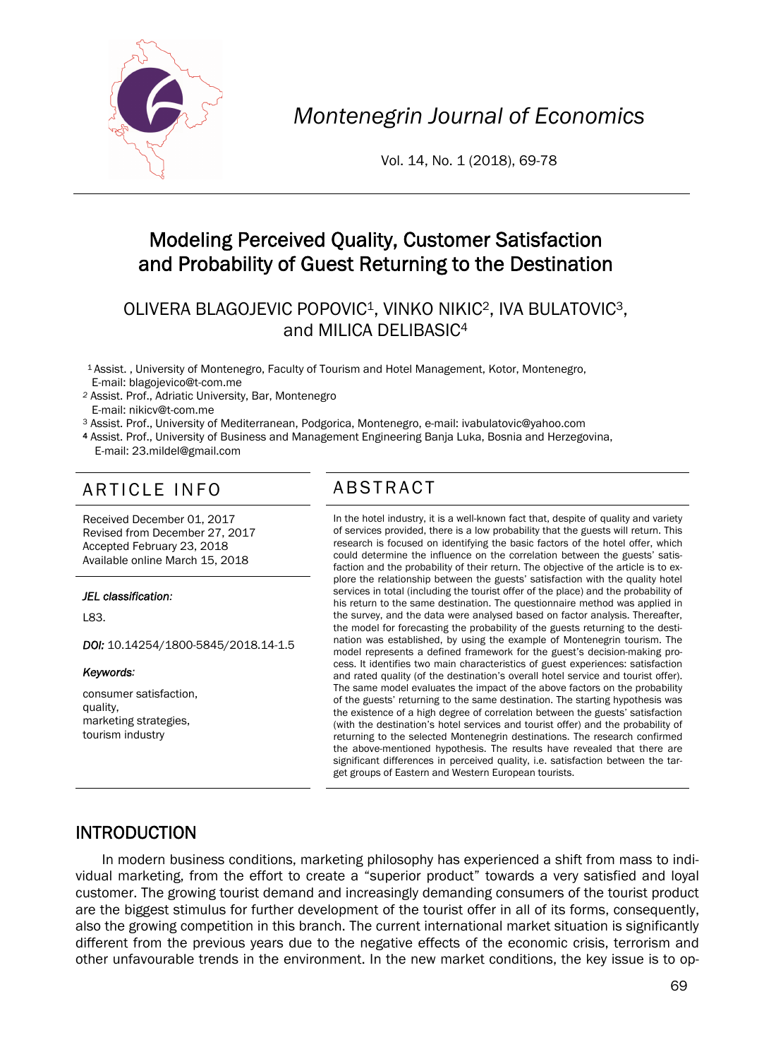

*Montenegrin Journal of Economics* 

Vol. 14, No. 1 (2018), 69-78

# Modeling Perceived Quality, Customer Satisfaction and Probability of Guest Returning to the Destination

## OLIVERA BLAGOJEVIC POPOVIC1, VINKO NIKIC2, IVA BULATOVIC3, and MILICA DELIBASIC4

1 Assist. , University of Montenegro, Faculty of Tourism and Hotel Management, Kotor, Montenegro, E-mail: blagojevico@t-com.me

*<sup>2</sup>* Assist. Prof., Adriatic University, Bar, Montenegro E-mail: nikicv@t-com.me

<sup>3</sup> Assist. Prof., University of Mediterranean, Podgorica, Montenegro, e-mail: ivabulatovic@yahoo.com<br>4 Assist. Prof., University of Business and Management Engineering Banja Luka, Bosnia and Herzegovina, E-mail: 23.mildel@gmail.com

# ARTICLE INFO ABSTRACT

Received December 01, 2017 Revised from December 27, 2017 Accepted February 23, 2018 Available online March 15, 2018

#### *JEL classification:*

L83.

*DOI:* 10.14254/1800-5845/2018.14-1.5

#### *Keywords:*

consumer satisfaction, quality, marketing strategies, tourism industry

 In the hotel industry, it is a well-known fact that, despite of quality and variety of services provided, there is a low probability that the guests will return. This research is focused on identifying the basic factors of the hotel offer, which could determine the influence on the correlation between the guests' satisfaction and the probability of their return. The objective of the article is to explore the relationship between the guests' satisfaction with the quality hotel services in total (including the tourist offer of the place) and the probability of his return to the same destination. The questionnaire method was applied in the survey, and the data were analysed based on factor analysis. Thereafter, the model for forecasting the probability of the guests returning to the destination was established, by using the example of Montenegrin tourism. The model represents a defined framework for the guest's decision-making process. It identifies two main characteristics of guest experiences: satisfaction and rated quality (of the destination's overall hotel service and tourist offer). The same model evaluates the impact of the above factors on the probability of the guests' returning to the same destination. The starting hypothesis was the existence of a high degree of correlation between the guests' satisfaction (with the destination's hotel services and tourist offer) and the probability of returning to the selected Montenegrin destinations. The research confirmed the above-mentioned hypothesis. The results have revealed that there are significant differences in perceived quality, i.e. satisfaction between the target groups of Eastern and Western European tourists.

#### INTRODUCTION

In modern business conditions, marketing philosophy has experienced a shift from mass to individual marketing, from the effort to create a "superior product" towards a very satisfied and loyal customer. The growing tourist demand and increasingly demanding consumers of the tourist product are the biggest stimulus for further development of the tourist offer in all of its forms, consequently, also the growing competition in this branch. The current international market situation is significantly different from the previous years due to the negative effects of the economic crisis, terrorism and other unfavourable trends in the environment. In the new market conditions, the key issue is to op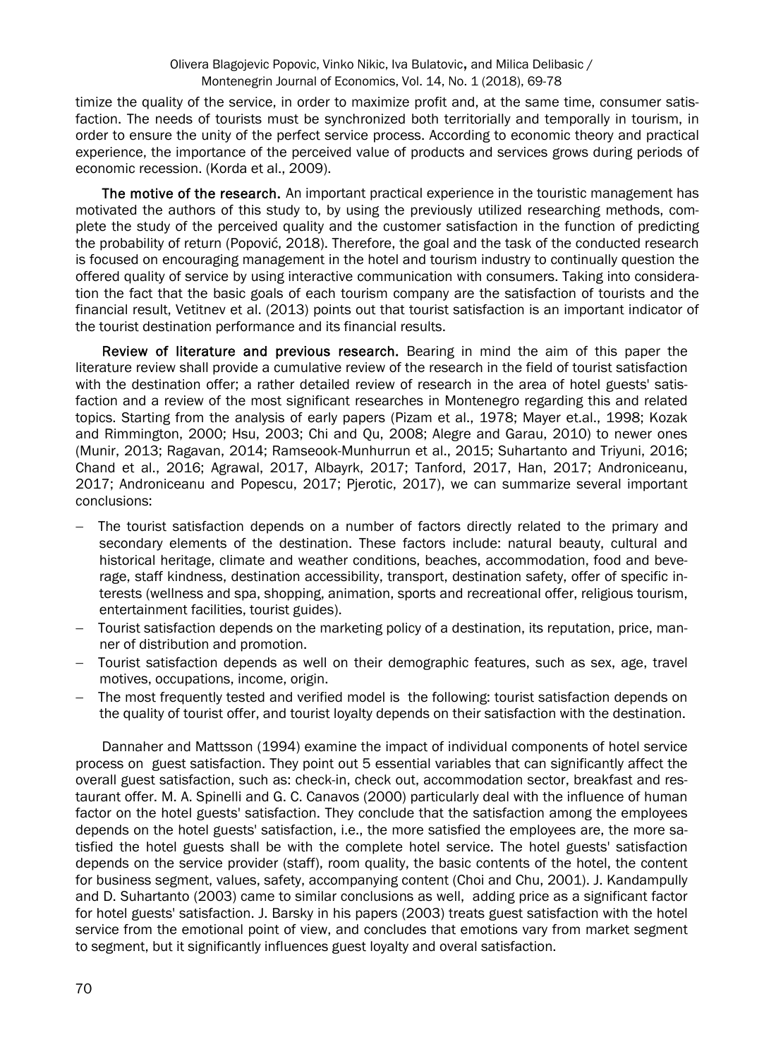timize the quality of the service, in order to maximize profit and, at the same time, consumer satisfaction. The needs of tourists must be synchronized both territorially and temporally in tourism, in order to ensure the unity of the perfect service process. According to economic theory and practical experience, the importance of the perceived value of products and services grows during periods of economic recession. (Korda et al., 2009).

The motive of the research. An important practical experience in the touristic management has motivated the authors of this study to, by using the previously utilized researching methods, complete the study of the perceived quality and the customer satisfaction in the function of predicting the probability of return (Popović, 2018). Therefore, the goal and the task of the conducted research is focused on encouraging management in the hotel and tourism industry to continually question the offered quality of service by using interactive communication with consumers. Taking into consideration the fact that the basic goals of each tourism company are the satisfaction of tourists and the financial result, Vetitnev et al. (2013) points out that tourist satisfaction is an important indicator of the tourist destination performance and its financial results.

Review of literature and previous research. Bearing in mind the aim of this paper the literature review shall provide a cumulative review of the research in the field of tourist satisfaction with the destination offer; a rather detailed review of research in the area of hotel guests' satisfaction and a review of the most significant researches in Montenegro regarding this and related topics. Starting from the analysis of early papers (Pizam et al., 1978; Mayer et.al., 1998; Kozak and Rimmington, 2000; Hsu, 2003; Chi and Qu, 2008; Alegre and Garau, 2010) to newer ones (Munir, 2013; Ragavan, 2014; Ramseook-Munhurrun et al., 2015; Suhartanto and Triyuni, 2016; Chand et al., 2016; Agrawal, 2017, Albayrk, 2017; Tanford, 2017, Han, 2017; Androniceanu, 2017; Androniceanu and Popescu, 2017; Pjerotic, 2017), we can summarize several important conclusions:

- The tourist satisfaction depends on a number of factors directly related to the primary and secondary elements of the destination. These factors include: natural beauty, cultural and historical heritage, climate and weather conditions, beaches, accommodation, food and beverage, staff kindness, destination accessibility, transport, destination safety, offer of specific interests (wellness and spa, shopping, animation, sports and recreational offer, religious tourism, entertainment facilities, tourist guides).
- Tourist satisfaction depends on the marketing policy of a destination, its reputation, price, manner of distribution and promotion.
- Tourist satisfaction depends as well on their demographic features, such as sex, age, travel motives, occupations, income, origin.
- The most frequently tested and verified model is the following: tourist satisfaction depends on the quality of tourist offer, and tourist loyalty depends on their satisfaction with the destination.

Dannaher and Mattsson (1994) examine the impact of individual components of hotel service process on guest satisfaction. They point out 5 essential variables that can significantly affect the overall guest satisfaction, such as: check-in, check out, accommodation sector, breakfast and restaurant offer. M. A. Spinelli and G. C. Canavos (2000) particularly deal with the influence of human factor on the hotel guests' satisfaction. They conclude that the satisfaction among the employees depends on the hotel guests' satisfaction, i.e., the more satisfied the employees are, the more satisfied the hotel guests shall be with the complete hotel service. The hotel guests' satisfaction depends on the service provider (staff), room quality, the basic contents of the hotel, the content for business segment, values, safety, accompanying content (Choi and Chu, 2001). J. Kandampully and D. Suhartanto (2003) came to similar conclusions as well, adding price as a significant factor for hotel guests' satisfaction. J. Barsky in his papers (2003) treats guest satisfaction with the hotel service from the emotional point of view, and concludes that emotions vary from market segment to segment, but it significantly influences guest loyalty and overal satisfaction.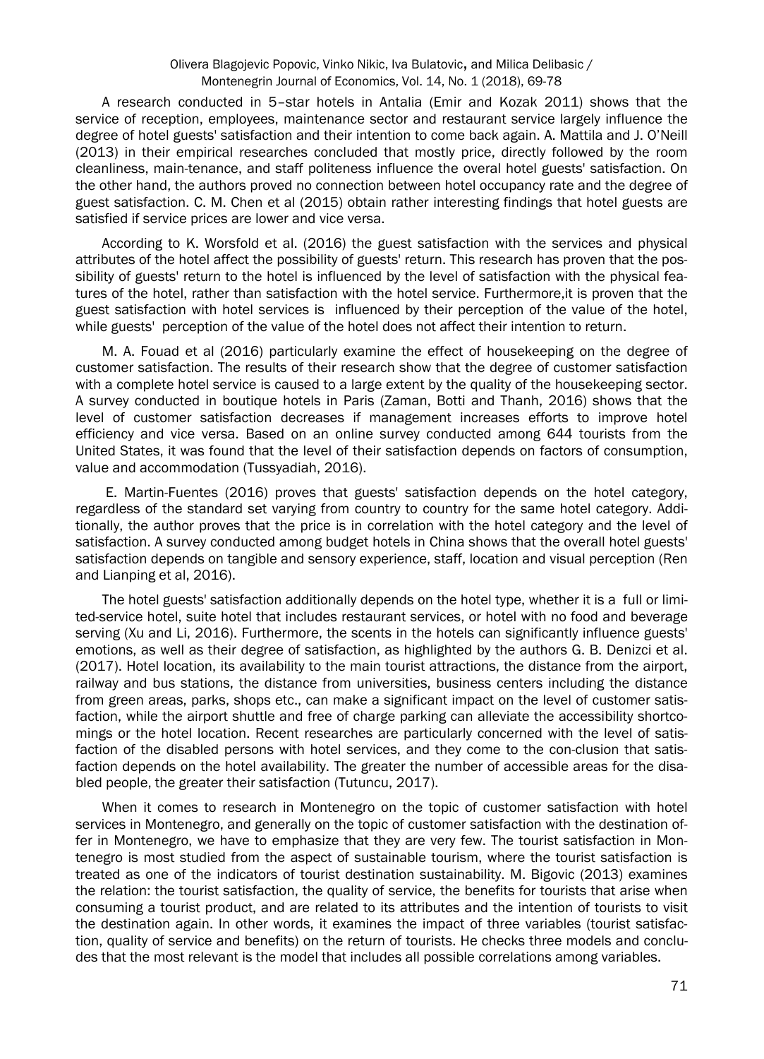#### Olivera Blagojevic Popovic, Vinko Nikic, Iva Bulatovic, and Milica Delibasic / Montenegrin Journal of Economics, Vol. 14, No. 1 (2018), 69-78

A research conducted in 5–star hotels in Antalia (Emir and Kozak 2011) shows that the service of reception, employees, maintenance sector and restaurant service largely influence the degree of hotel guests' satisfaction and their intention to come back again. A. Mattila and J. O'Neill (2013) in their empirical researches concluded that mostly price, directly followed by the room cleanliness, main-tenance, and staff politeness influence the overal hotel guests' satisfaction. On the other hand, the authors proved no connection between hotel occupancy rate and the degree of guest satisfaction. C. M. Chen et al (2015) obtain rather interesting findings that hotel guests are satisfied if service prices are lower and vice versa.

According to K. Worsfold et al. (2016) the guest satisfaction with the services and physical attributes of the hotel affect the possibility of guests' return. This research has proven that the possibility of guests' return to the hotel is influenced by the level of satisfaction with the physical features of the hotel, rather than satisfaction with the hotel service. Furthermore,it is proven that the guest satisfaction with hotel services is influenced by their perception of the value of the hotel, while guests' perception of the value of the hotel does not affect their intention to return.

M. A. Fouad et al (2016) particularly examine the effect of housekeeping on the degree of customer satisfaction. The results of their research show that the degree of customer satisfaction with a complete hotel service is caused to a large extent by the quality of the housekeeping sector. A survey conducted in boutique hotels in Paris (Zaman, Botti and Thanh, 2016) shows that the level of customer satisfaction decreases if management increases efforts to improve hotel efficiency and vice versa. Based on an online survey conducted among 644 tourists from the United States, it was found that the level of their satisfaction depends on factors of consumption, value and accommodation (Tussyadiah, 2016).

 E. Martin-Fuentes (2016) proves that guests' satisfaction depends on the hotel category, regardless of the standard set varying from country to country for the same hotel category. Additionally, the author proves that the price is in correlation with the hotel category and the level of satisfaction. A survey conducted among budget hotels in China shows that the overall hotel guests' satisfaction depends on tangible and sensory experience, staff, location and visual perception (Ren and Lianping et al, 2016).

The hotel guests' satisfaction additionally depends on the hotel type, whether it is a full or limited-service hotel, suite hotel that includes restaurant services, or hotel with no food and beverage serving (Xu and Li, 2016). Furthermore, the scents in the hotels can significantly influence guests' emotions, as well as their degree of satisfaction, as highlighted by the authors G. B. Denizci et al. (2017). Hotel location, its availability to the main tourist attractions, the distance from the airport, railway and bus stations, the distance from universities, business centers including the distance from green areas, parks, shops etc., can make a significant impact on the level of customer satisfaction, while the airport shuttle and free of charge parking can alleviate the accessibility shortcomings or the hotel location. Recent researches are particularly concerned with the level of satisfaction of the disabled persons with hotel services, and they come to the con-clusion that satisfaction depends on the hotel availability. The greater the number of accessible areas for the disabled people, the greater their satisfaction (Tutuncu, 2017).

When it comes to research in Montenegro on the topic of customer satisfaction with hotel services in Montenegro, and generally on the topic of customer satisfaction with the destination offer in Montenegro, we have to emphasize that they are very few. The tourist satisfaction in Montenegro is most studied from the aspect of sustainable tourism, where the tourist satisfaction is treated as one of the indicators of tourist destination sustainability. M. Bigovic (2013) examines the relation: the tourist satisfaction, the quality of service, the benefits for tourists that arise when consuming a tourist product, and are related to its attributes and the intention of tourists to visit the destination again. In other words, it examines the impact of three variables (tourist satisfaction, quality of service and benefits) on the return of tourists. He checks three models and concludes that the most relevant is the model that includes all possible correlations among variables.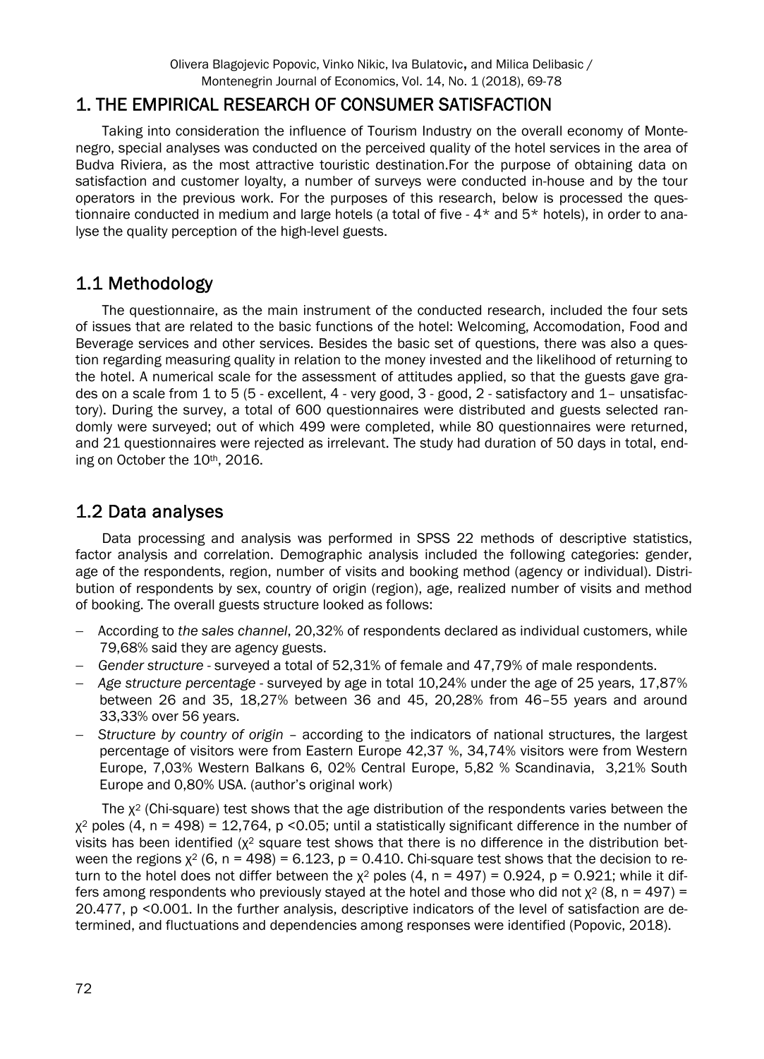## 1. THE EMPIRICAL RESEARCH OF CONSUMER SATISFACTION

Taking into consideration the influence of Tourism Industry on the overall economy of Montenegro, special analyses was conducted on the perceived quality of the hotel services in the area of Budva Riviera, as the most attractive touristic destination.For the purpose of obtaining data on satisfaction and customer loyalty, a number of surveys were conducted in-house and by the tour operators in the previous work. For the purposes of this research, below is processed the questionnaire conducted in medium and large hotels (a total of five - 4\* and 5\* hotels), in order to analyse the quality perception of the high-level guests.

## 1.1 Methodology

The questionnaire, as the main instrument of the conducted research, included the four sets of issues that are related to the basic functions of the hotel: Welcoming, Accomodation, Food and Beverage services and other services. Besides the basic set of questions, there was also a question regarding measuring quality in relation to the money invested and the likelihood of returning to the hotel. A numerical scale for the assessment of attitudes applied, so that the guests gave grades on a scale from 1 to 5 (5 - excellent, 4 - very good, 3 - good, 2 - satisfactory and 1– unsatisfactory). During the survey, a total of 600 questionnaires were distributed and guests selected randomly were surveyed; out of which 499 were completed, while 80 questionnaires were returned, and 21 questionnaires were rejected as irrelevant. The study had duration of 50 days in total, ending on October the 10th, 2016.

## 1.2 Data analyses

Data processing and analysis was performed in SPSS 22 methods of descriptive statistics, factor analysis and correlation. Demographic analysis included the following categories: gender, age of the respondents, region, number of visits and booking method (agency or individual). Distribution of respondents by sex, country of origin (region), age, realized number of visits and method of booking. The overall guests structure looked as follows:

- According to *the sales channel*, 20,32% of respondents declared as individual customers, while 79,68% said they are agency guests.
- *Gender structure* surveyed a total of 52,31% of female and 47,79% of male respondents.
- *Age structure percentage* surveyed by age in total 10,24% under the age of 25 years, 17,87% between 26 and 35, 18,27% between 36 and 45, 20,28% from 46–55 years and around 33,33% over 56 years.
- *Structure by country of origin* according to the indicators of national structures, the largest percentage of visitors were from Eastern Europe 42,37 %, 34,74% visitors were from Western Europe, 7,03% Western Balkans 6, 02% Central Europe, 5,82 % Scandinavia, 3,21% South Europe and 0,80% USA. (author's original work)

The  $x^2$  (Chi-square) test shows that the age distribution of the respondents varies between the  $\chi^2$  poles (4, n = 498) = 12,764, p < 0.05; until a statistically significant difference in the number of visits has been identified ( $x^2$  square test shows that there is no difference in the distribution between the regions  $x^2$  (6, n = 498) = 6.123, p = 0.410. Chi-square test shows that the decision to return to the hotel does not differ between the  $x^2$  poles (4, n = 497) = 0.924, p = 0.921; while it differs among respondents who previously stayed at the hotel and those who did not  $x^2$  (8, n = 497) = 20.477, p <0.001. In the further analysis, descriptive indicators of the level of satisfaction are determined, and fluctuations and dependencies among responses were identified (Popovic, 2018).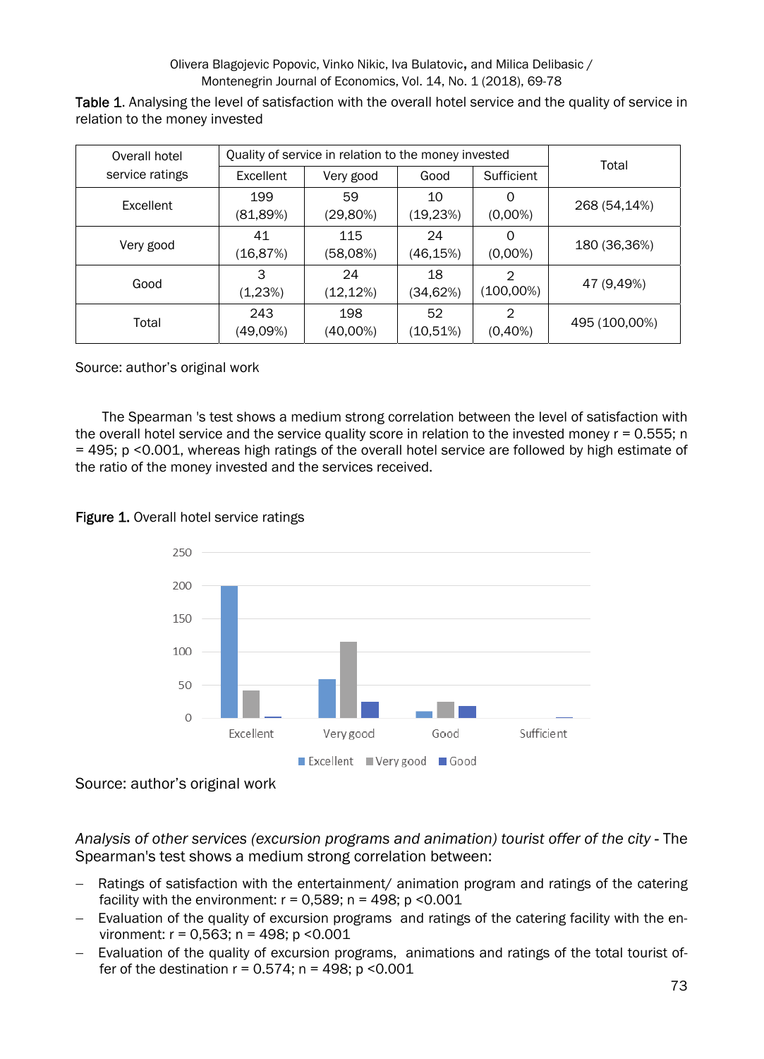Olivera Blagojevic Popovic, Vinko Nikic, Iva Bulatovic, and Milica Delibasic / Montenegrin Journal of Economics, Vol. 14, No. 1 (2018), 69-78

Table 1. Analysing the level of satisfaction with the overall hotel service and the quality of service in relation to the money invested

| Overall hotel   | Quality of service in relation to the money invested | Total           |                |                   |               |
|-----------------|------------------------------------------------------|-----------------|----------------|-------------------|---------------|
| service ratings | Excellent                                            | Very good       | Good           | Sufficient        |               |
| Excellent       | 199<br>(81,89%)                                      | 59<br>(29,80%)  | 10<br>(19,23%) | O<br>$(0,00\%)$   | 268 (54,14%)  |
| Very good       | 41<br>(16,87%)                                       | 115<br>(58,08%) | 24<br>(46,15%) | 0<br>$(0,00\%)$   | 180 (36,36%)  |
| Good            | 3<br>(1,23%)                                         | 24<br>(12, 12%) | 18<br>(34,62%) | 2<br>$(100,00\%)$ | 47 (9,49%)    |
| Total           | 243<br>(49,09%)                                      | 198<br>(40,00%) | 52<br>(10,51%) | 2<br>$(0,40\%)$   | 495 (100,00%) |

Source: author's original work

The Spearman 's test shows a medium strong correlation between the level of satisfaction with the overall hotel service and the service quality score in relation to the invested money r = 0.555; n = 495; p <0.001, whereas high ratings of the overall hotel service are followed by high estimate of the ratio of the money invested and the services received.





Source: author's original work

*Analysis of other services (excursion programs and animation) tourist offer of the city* - The Spearman's test shows a medium strong correlation between:

- Ratings of satisfaction with the entertainment/ animation program and ratings of the catering facility with the environment:  $r = 0.589$ ;  $n = 498$ ;  $p \le 0.001$
- Evaluation of the quality of excursion programs and ratings of the catering facility with the environment: r = 0,563; n = 498; p <0.001
- Evaluation of the quality of excursion programs, animations and ratings of the total tourist offer of the destination  $r = 0.574$ ; n = 498; p < 0.001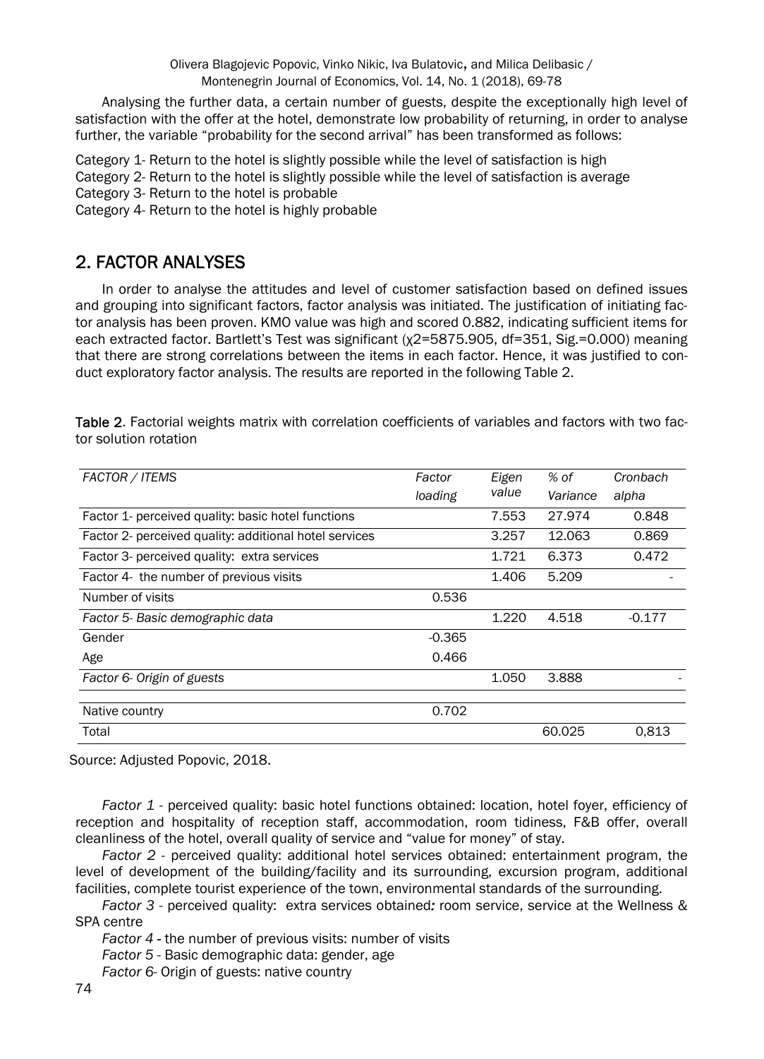Analysing the further data, a certain number of guests, despite the exceptionally high level of satisfaction with the offer at the hotel, demonstrate low probability of returning, in order to analyse further, the variable "probability for the second arrival" has been transformed as follows:

Category 1- Return to the hotel is slightly possible while the level of satisfaction is high Category 2- Return to the hotel is slightly possible while the level of satisfaction is average Category 3- Return to the hotel is probable

Category 4- Return to the hotel is highly probable

## 2. FACTOR ANALYSES

In order to analyse the attitudes and level of customer satisfaction based on defined issues and grouping into significant factors, factor analysis was initiated. The justification of initiating factor analysis has been proven. KMO value was high and scored 0.882, indicating sufficient items for each extracted factor. Bartlett's Test was significant (χ2=5875.905, df=351, Sig.=0.000) meaning that there are strong correlations between the items in each factor. Hence, it was justified to conduct exploratory factor analysis. The results are reported in the following Table 2.

Table 2. Factorial weights matrix with correlation coefficients of variables and factors with two factor solution rotation

| FACTOR / ITEMS                                         | Factor   | Eigen | % of     | Cronbach |
|--------------------------------------------------------|----------|-------|----------|----------|
|                                                        | loading  | value | Variance | alpha    |
| Factor 1- perceived quality: basic hotel functions     |          | 7.553 | 27.974   | 0.848    |
| Factor 2- perceived quality: additional hotel services |          | 3.257 | 12.063   | 0.869    |
| Factor 3- perceived quality: extra services            |          | 1.721 | 6.373    | 0.472    |
| Factor 4- the number of previous visits                |          | 1.406 | 5.209    |          |
| Number of visits                                       | 0.536    |       |          |          |
| Factor 5- Basic demographic data                       |          | 1.220 | 4.518    | $-0.177$ |
| Gender                                                 | $-0.365$ |       |          |          |
| Age                                                    | 0.466    |       |          |          |
| Factor 6- Origin of guests                             |          | 1.050 | 3.888    |          |
|                                                        |          |       |          |          |
| Native country                                         | 0.702    |       |          |          |
| Total                                                  |          |       | 60.025   | 0.813    |

Source: Adjusted Popovic, 2018.

*Factor 1* - perceived quality: basic hotel functions obtained:location, hotel foyer, efficiency of reception and hospitality of reception staff, accommodation, room tidiness, F&B offer, overall cleanliness of the hotel, overall quality of service and "value for money" of stay.

*Factor 2* - perceived quality: additional hotel services obtained: entertainment program, the level of development of the building/facility and its surrounding, excursion program, additional facilities, complete tourist experience of the town, environmental standards of the surrounding.

*Factor 3 -* perceived quality: extra services obtained*:* room service, service at the Wellness & SPA centre

*Factor 4* - the number of previous visits: number of visits

*Factor 5* - Basic demographic data: gender, age

*Factor 6*- Origin of guests: native country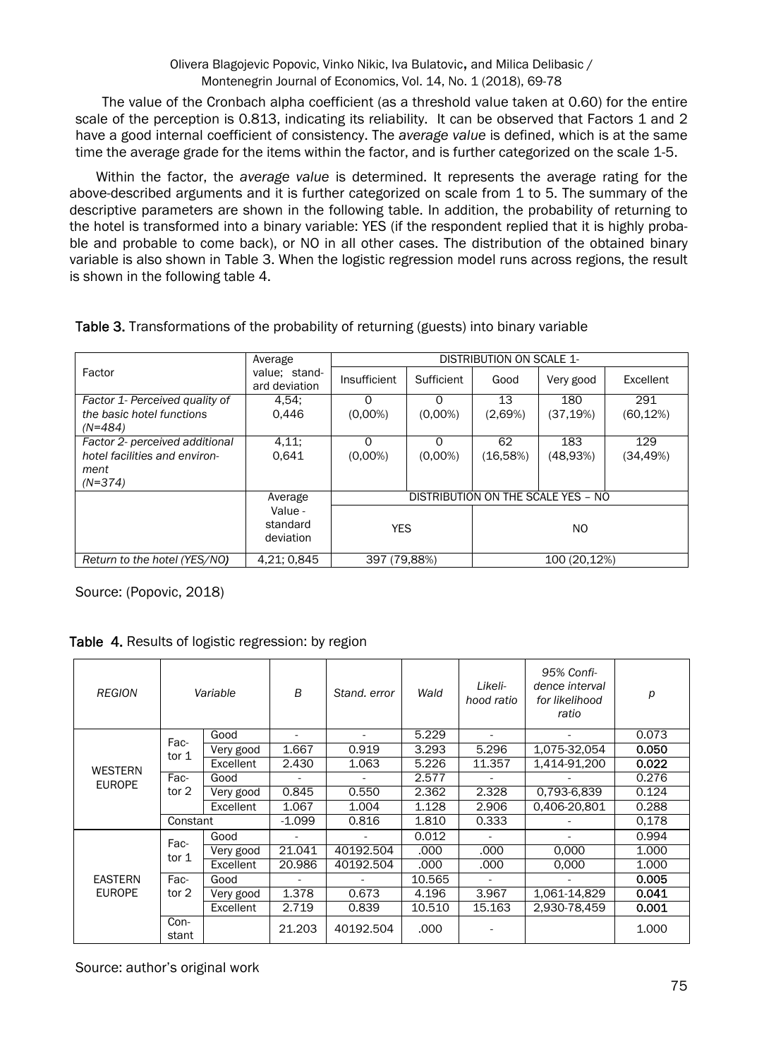The value of the Cronbach alpha coefficient (as a threshold value taken at 0.60) for the entire scale of the perception is 0.813, indicating its reliability. It can be observed that Factors 1 and 2 have a good internal coefficient of consistency. The *average value* is defined, which is at the same time the average grade for the items within the factor, and is further categorized on the scale 1-5.

Within the factor, the *average value* is determined. It represents the average rating for the above-described arguments and it is further categorized on scale from 1 to 5. The summary of the descriptive parameters are shown in the following table. In addition, the probability of returning to the hotel is transformed into a binary variable: YES (if the respondent replied that it is highly probable and probable to come back), or NO in all other cases. The distribution of the obtained binary variable is also shown in Table 3. When the logistic regression model runs across regions, the result is shown in the following table 4.

|                                | Average                          | DISTRIBUTION ON SCALE 1- |            |                                           |              |           |
|--------------------------------|----------------------------------|--------------------------|------------|-------------------------------------------|--------------|-----------|
| Factor                         | value; stand-<br>ard deviation   | Insufficient             | Sufficient | Good                                      | Very good    | Excellent |
| Factor 1- Perceived quality of | 4,54;                            |                          | 0          | 13                                        | 180          | 291       |
| the basic hotel functions      | 0.446                            | $(0.00\%)$               | $(0.00\%)$ | (2,69%)                                   | (37, 19%)    | (60, 12%) |
| $(N=484)$                      |                                  |                          |            |                                           |              |           |
| Factor 2- perceived additional | 4,11;                            | $\Omega$                 | 0          | 62                                        | 183          | 129       |
| hotel facilities and environ-  | 0.641                            | $(0.00\%)$               | $(0.00\%)$ | (16,58%)                                  | (48.93%)     | (34,49%)  |
| ment                           |                                  |                          |            |                                           |              |           |
| $(N=374)$                      |                                  |                          |            |                                           |              |           |
|                                | Average                          |                          |            | <b>DISTRIBUTION ON THE SCALE YES - NO</b> |              |           |
|                                | Value -<br>standard<br>deviation | <b>YES</b>               |            | NO.                                       |              |           |
| Return to the hotel (YES/NO)   | 4,21; 0,845                      | 397 (79,88%)             |            |                                           | 100 (20,12%) |           |

#### Table 3. Transformations of the probability of returning (guests) into binary variable

Source: (Popovic, 2018)

Table 4. Results of logistic regression: by region

| <b>REGION</b>                   | Variable      |           | B      | Stand, error | Wald   | Likeli-<br>hood ratio | 95% Confi-<br>dence interval<br>for likelihood<br>ratio | р     |
|---------------------------------|---------------|-----------|--------|--------------|--------|-----------------------|---------------------------------------------------------|-------|
| <b>WESTERN</b><br><b>EUROPE</b> | Fac-<br>tor 1 | Good      | ٠      |              | 5.229  |                       |                                                         | 0.073 |
|                                 |               | Very good | 1.667  | 0.919        | 3.293  | 5.296                 | $1,075-32,054$                                          | 0.050 |
|                                 |               | Excellent | 2.430  | 1.063        | 5.226  | 11.357                | 1.414-91.200                                            | 0.022 |
|                                 | Fac-<br>tor 2 | Good      |        |              | 2.577  |                       |                                                         | 0.276 |
|                                 |               | Very good | 0.845  | 0.550        | 2.362  | 2.328                 | 0.793-6.839                                             | 0.124 |
|                                 |               | Excellent | 1.067  | 1.004        | 1.128  | 2.906                 | 0,406-20,801                                            | 0.288 |
|                                 |               | Constant  |        | 0.816        | 1.810  | 0.333                 |                                                         | 0.178 |
| <b>EASTERN</b><br><b>EUROPE</b> | Fac-<br>tor 1 | Good      |        |              | 0.012  | $\overline{a}$        |                                                         | 0.994 |
|                                 |               | Very good | 21.041 | 40192.504    | .000   | .000                  | 0.000                                                   | 1.000 |
|                                 |               | Excellent | 20.986 | 40192.504    | .000   | .000                  | 0,000                                                   | 1.000 |
|                                 | Fac-<br>tor 2 | Good      | ٠      |              | 10.565 | ä,                    |                                                         | 0.005 |
|                                 |               | Very good | 1.378  | 0.673        | 4.196  | 3.967                 | 1,061-14,829                                            | 0.041 |
|                                 |               | Excellent | 2.719  | 0.839        | 10.510 | 15.163                | 2,930-78,459                                            | 0.001 |
|                                 | Con-<br>stant |           | 21.203 | 40192.504    | .000   |                       |                                                         | 1.000 |

Source: author's original work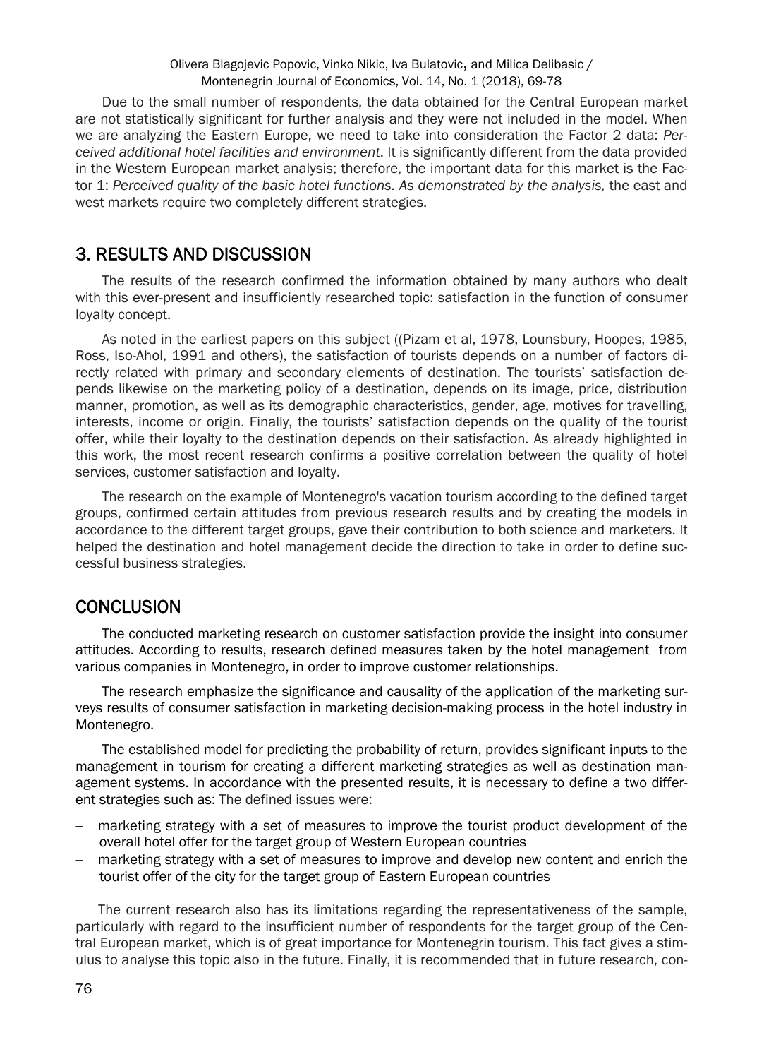#### Olivera Blagojevic Popovic, Vinko Nikic, Iva Bulatovic, and Milica Delibasic / Montenegrin Journal of Economics, Vol. 14, No. 1 (2018), 69-78

Due to the small number of respondents, the data obtained for the Central European market are not statistically significant for further analysis and they were not included in the model. When we are analyzing the Eastern Europe, we need to take into consideration the Factor 2 data: *Perceived additional hotel facilities and environment*. It is significantly different from the data provided in the Western European market analysis; therefore, the important data for this market is the Factor 1: *Perceived quality of the basic hotel functions. As demonstrated by the analysis,* the east and west markets require two completely different strategies.

#### 3. RESULTS AND DISCUSSION

The results of the research confirmed the information obtained by many authors who dealt with this ever-present and insufficiently researched topic: satisfaction in the function of consumer loyalty concept.

As noted in the earliest papers on this subject ((Pizam et al, 1978, Lounsbury, Hoopes, 1985, Ross, Iso-Ahol, 1991 and others), the satisfaction of tourists depends on a number of factors directly related with primary and secondary elements of destination. The tourists' satisfaction depends likewise on the marketing policy of a destination, depends on its image, price, distribution manner, promotion, as well as its demographic characteristics, gender, age, motives for travelling, interests, income or origin. Finally, the tourists' satisfaction depends on the quality of the tourist offer, while their loyalty to the destination depends on their satisfaction. As already highlighted in this work, the most recent research confirms a positive correlation between the quality of hotel services, customer satisfaction and loyalty.

The research on the example of Montenegro's vacation tourism according to the defined target groups, confirmed certain attitudes from previous research results and by creating the models in accordance to the different target groups, gave their contribution to both science and marketers. It helped the destination and hotel management decide the direction to take in order to define successful business strategies.

#### **CONCLUSION**

The conducted marketing research on customer satisfaction provide the insight into consumer attitudes. According to results, research defined measures taken by the hotel management from various companies in Montenegro, in order to improve customer relationships.

The research emphasize the significance and causality of the application of the marketing surveys results of consumer satisfaction in marketing decision-making process in the hotel industry in Montenegro.

The established model for predicting the probability of return, provides significant inputs to the management in tourism for creating a different marketing strategies as well as destination management systems. In accordance with the presented results, it is necessary to define a two different strategies such as: The defined issues were:

- marketing strategy with a set of measures to improve the tourist product development of the overall hotel offer for the target group of Western European countries
- marketing strategy with a set of measures to improve and develop new content and enrich the tourist offer of the city for the target group of Eastern European countries

The current research also has its limitations regarding the representativeness of the sample, particularly with regard to the insufficient number of respondents for the target group of the Central European market, which is of great importance for Montenegrin tourism. This fact gives a stimulus to analyse this topic also in the future. Finally, it is recommended that in future research, con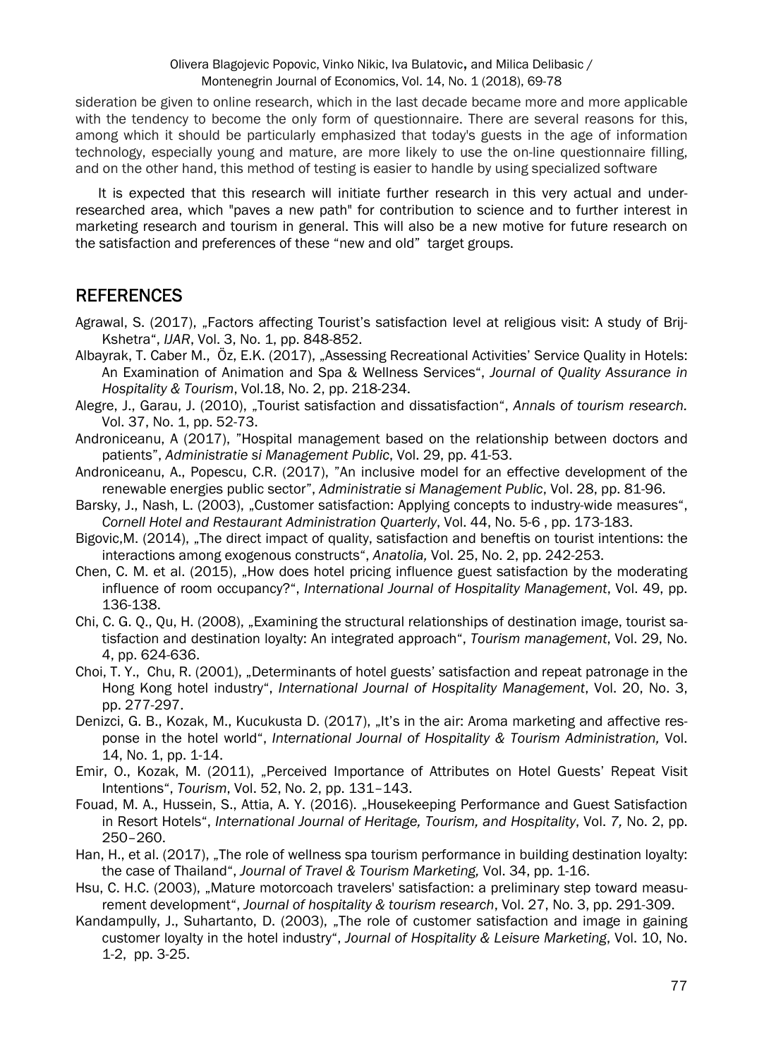sideration be given to online research, which in the last decade became more and more applicable with the tendency to become the only form of questionnaire. There are several reasons for this, among which it should be particularly emphasized that today's guests in the age of information technology, especially young and mature, are more likely to use the on-line questionnaire filling, and on the other hand, this method of testing is easier to handle by using specialized software

It is expected that this research will initiate further research in this very actual and underresearched area, which "paves a new path" for contribution to science and to further interest in marketing research and tourism in general. This will also be a new motive for future research on the satisfaction and preferences of these "new and old" target groups.

## REFERENCES

- Agrawal, S. (2017), "Factors affecting Tourist's satisfaction level at religious visit: A study of Brij-Kshetra", *IJAR*, Vol. 3, No. 1, pp. 848-852.
- Albayrak, T. Caber M., Öz, E.K. (2017), "Assessing Recreational Activities' Service Quality in Hotels: An Examination of Animation and Spa & Wellness Services", *Journal of Quality Assurance in Hospitality & Tourism*, Vol.18, No. 2, pp. 218-234.
- Alegre, J., Garau, J. (2010), "Tourist satisfaction and dissatisfaction", *Annals of tourism research.*  Vol. 37, No. 1, pp. 52-73.
- Androniceanu, A (2017), "Hospital management based on the relationship between doctors and patients", *Administratie si Management Public*, Vol. 29, pp. 41-53.
- Androniceanu, A., Popescu, C.R. (2017), "An inclusive model for an effective development of the renewable energies public sector", *Administratie si Management Public*, Vol. 28, pp. 81-96.
- Barsky, J., Nash, L. (2003), "Customer satisfaction: Applying concepts to industry-wide measures", *Cornell Hotel and Restaurant Administration Quarterly*, Vol. 44, No. 5-6 , pp. 173-183.
- Bigovic,M. (2014), "The direct impact of quality, satisfaction and beneftis on tourist intentions: the interactions among exogenous constructs", *Anatolia,* Vol. 25, No. 2, pp. 242-253.
- Chen, C. M. et al. (2015), "How does hotel pricing influence guest satisfaction by the moderating influence of room occupancy?", *International Journal of Hospitality Management*, Vol. 49, pp. 136-138.
- Chi, C. G. Q., Qu, H. (2008), "Examining the structural relationships of destination image, tourist satisfaction and destination loyalty: An integrated approach", *Tourism management*, Vol. 29, No. 4, pp. 624-636.
- Choi, T. Y., Chu, R. (2001), "Determinants of hotel guests' satisfaction and repeat patronage in the Hong Kong hotel industry", *International Journal of Hospitality Management*, Vol. 20, No. 3, pp. 277-297.
- Denizci, G. B., Kozak, M., Kucukusta D. (2017), "It's in the air: Aroma marketing and affective response in the hotel world", *International Journal of Hospitality & Tourism Administration,* Vol. 14, No. 1, pp. 1-14.
- Emir, O., Kozak, M. (2011), "Perceived Importance of Attributes on Hotel Guests' Repeat Visit Intentions", *Tourism*, Vol. 52, No. 2, pp. 131–143.
- Fouad, M. A., Hussein, S., Attia, A. Y. (2016). "Housekeeping Performance and Guest Satisfaction in Resort Hotels", *International Journal of Heritage, Tourism, and Hospitality*, Vol. *7,* No. 2, pp. 250–260.
- Han, H., et al. (2017), "The role of wellness spa tourism performance in building destination loyalty: the case of Thailand", *Journal of Travel & Tourism Marketing,* Vol. 34, pp. 1-16.
- Hsu, C. H.C. (2003), "Mature motorcoach travelers' satisfaction: a preliminary step toward measurement development", *Journal of hospitality & tourism research*, Vol. 27, No. 3, pp. 291-309.
- Kandampully, J., Suhartanto, D. (2003), "The role of customer satisfaction and image in gaining customer loyalty in the hotel industry", *Journal of Hospitality & Leisure Marketing*, Vol. 10, No. 1-2, pp. 3-25.